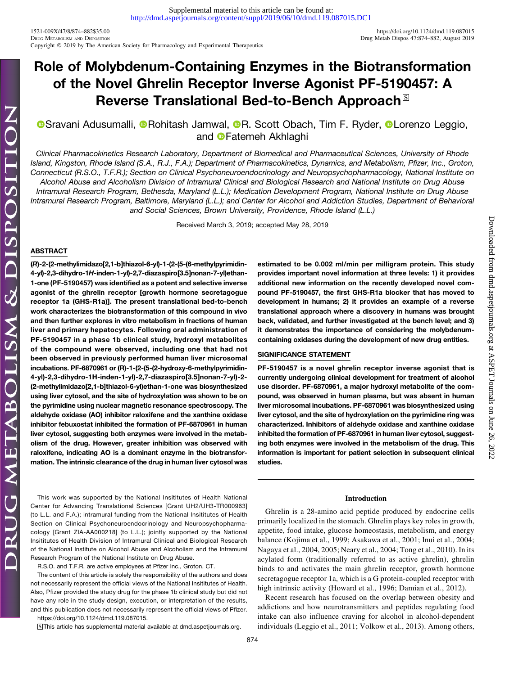1521-009X/47/8/874–882\$35.00 <https://doi.org/10.1124/dmd.119.087015> Copyright © 2019 by The American Society for Pharmacology and Experimental Therapeutics

# Role of Molybdenum-Containing Enzymes in the Biotransformation of the Novel Ghrelin Receptor Inverse Agonist PF-5190457: A Reverse Translational Bed-to-Bench Approach<sup>®</sup>

**OSravani Adusumalli, ORohitash Jamwal, OR. Scott Obach, Tim F. Ryder, OLorenzo Leggio,** and **O**Fatemeh Akhlaghi

Clinical Pharmacokinetics Research Laboratory, Department of Biomedical and Pharmaceutical Sciences, University of Rhode Island, Kingston, Rhode Island (S.A., R.J., F.A.); Department of Pharmacokinetics, Dynamics, and Metabolism, Pfizer, Inc., Groton, Connecticut (R.S.O., T.F.R.); Section on Clinical Psychoneuroendocrinology and Neuropsychopharmacology, National Institute on Alcohol Abuse and Alcoholism Division of Intramural Clinical and Biological Research and National Institute on Drug Abuse Intramural Research Program, Bethesda, Maryland (L.L.); Medication Development Program, National Institute on Drug Abuse Intramural Research Program, Baltimore, Maryland (L.L.); and Center for Alcohol and Addiction Studies, Department of Behavioral and Social Sciences, Brown University, Providence, Rhode Island (L.L.)

Received March 3, 2019; accepted May 28, 2019

# ABSTRACT

(R)-2-(2-methylimidazo[2,1-b]thiazol-6-yl)-1-(2-(5-(6-methylpyrimidin-4-yl)-2,3-dihydro-1H-inden-1-yl)-2,7-diazaspiro[3.5]nonan-7-yl)ethan-1-one (PF-5190457) was identified as a potent and selective inverse agonist of the ghrelin receptor [growth hormone secretagogue receptor 1a (GHS-R1a)]. The present translational bed-to-bench work characterizes the biotransformation of this compound in vivo and then further explores in vitro metabolism in fractions of human liver and primary hepatocytes. Following oral administration of PF-5190457 in a phase 1b clinical study, hydroxyl metabolites of the compound were observed, including one that had not been observed in previously performed human liver microsomal incubations. PF-6870961 or (R)-1-(2-(5-(2-hydroxy-6-methylpyrimidin-4-yl)-2,3-dihydro-1H-inden-1-yl)-2,7-diazaspiro[3.5]nonan-7-yl)-2- (2-methylimidazo[2,1-b]thiazol-6-yl)ethan-1-one was biosynthesized using liver cytosol, and the site of hydroxylation was shown to be on the pyrimidine using nuclear magnetic resonance spectroscopy. The aldehyde oxidase (AO) inhibitor raloxifene and the xanthine oxidase inhibitor febuxostat inhibited the formation of PF-6870961 in human liver cytosol, suggesting both enzymes were involved in the metabolism of the drug. However, greater inhibition was observed with raloxifene, indicating AO is a dominant enzyme in the biotransformation. The intrinsic clearance of the drug in human liver cytosol was

This work was supported by the National Insititutes of Health National Center for Advancing Translational Sciences [Grant UH2/UH3-TR000963] (to L.L. and F.A.); intramural funding from the National Insititutes of Health Section on Clinical Psychoneuroendocrinology and Neuropsychopharmacology [Grant ZIA-AA000218] (to L.L.); jointly supported by the National Insititutes of Health Division of Intramural Clinical and Biological Research of the National Institute on Alcohol Abuse and Alcoholism and the Intramural Research Program of the National Institute on Drug Abuse.

R.S.O. and T.F.R. are active employees at Pfizer Inc., Groton, CT.

The content of this article is solely the responsibility of the authors and does not necessarily represent the official views of the National Insititutes of Health. Also, Pfizer provided the study drug for the phase 1b clinical study but did not have any role in the study design, execution, or interpretation of the results, and this publication does not necessarily represent the official views of Pfizer. <https://doi.org/10.1124/dmd.119.087015>.

S This article has supplemental material available at [dmd.aspetjournals.org.](http://dmd.aspetjournals.org)

Downloaded from dmd.aspetjournals.org at ASPET Journals on June 26, Downloaded from [dmd.aspetjournals.org](http://dmd.aspetjournals.org/) at ASPET Journals on June 26, 2022  $.2022$ 

# estimated to be 0.002 ml/min per milligram protein. This study provides important novel information at three levels: 1) it provides additional new information on the recently developed novel compound PF-5190457, the first GHS-R1a blocker that has moved to development in humans; 2) it provides an example of a reverse translational approach where a discovery in humans was brought back, validated, and further investigated at the bench level; and 3) it demonstrates the importance of considering the molybdenumcontaining oxidases during the development of new drug entities.

# SIGNIFICANCE STATEMENT

PF-5190457 is a novel ghrelin receptor inverse agonist that is currently undergoing clinical development for treatment of alcohol use disorder. PF-6870961, a major hydroxyl metabolite of the compound, was observed in human plasma, but was absent in human liver microsomal incubations. PF-6870961 was biosynthesized using liver cytosol, and the site of hydroxylation on the pyrimidine ring was characterized. Inhibitors of aldehyde oxidase and xanthine oxidase inhibited the formation of PF-6870961 in human liver cytosol, suggesting both enzymes were involved in the metabolism of the drug. This information is important for patient selection in subsequent clinical studies.

### Introduction

Ghrelin is a 28-amino acid peptide produced by endocrine cells primarily localized in the stomach. Ghrelin plays key roles in growth, appetite, food intake, glucose homeostasis, metabolism, and energy balance (Kojima et al., 1999; Asakawa et al., 2001; Inui et al., 2004; Nagaya et al., 2004, 2005; Neary et al., 2004; Tong et al., 2010). In its acylated form (traditionally referred to as active ghrelin), ghrelin binds to and activates the main ghrelin receptor, growth hormone secretagogue receptor 1a, which is a G protein-coupled receptor with high intrinsic activity (Howard et al., 1996; Damian et al., 2012).

Recent research has focused on the overlap between obesity and addictions and how neurotransmitters and peptides regulating food intake can also influence craving for alcohol in alcohol-dependent individuals (Leggio et al., 2011; Volkow et al., 2013). Among others,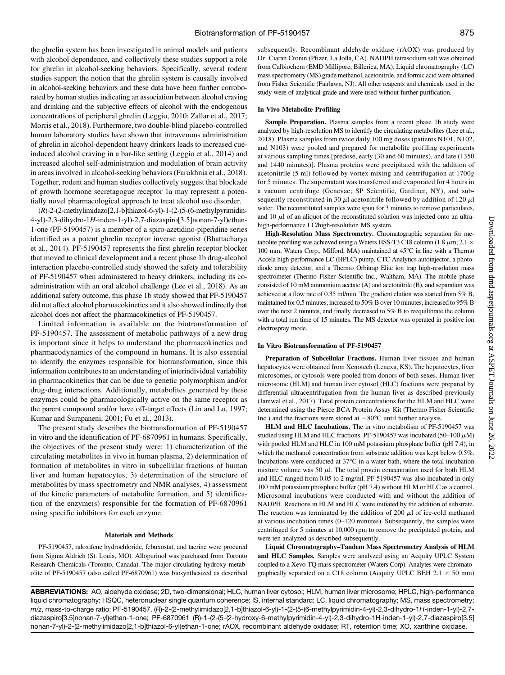the ghrelin system has been investigated in animal models and patients with alcohol dependence, and collectively these studies support a role for ghrelin in alcohol-seeking behaviors. Specifically, several rodent studies support the notion that the ghrelin system is causally involved in alcohol-seeking behaviors and these data have been further corroborated by human studies indicating an association between alcohol craving and drinking and the subjective effects of alcohol with the endogenous concentrations of peripheral ghrelin (Leggio, 2010; Zallar et al., 2017; Morris et al., 2018). Furthermore, two double-blind placebo-controlled human laboratory studies have shown that intravenous administration of ghrelin in alcohol-dependent heavy drinkers leads to increased cueinduced alcohol craving in a bar-like setting (Leggio et al., 2014) and increased alcohol self-administration and modulation of brain activity in areas involved in alcohol-seeking behaviors (Farokhnia et al., 2018). Together, rodent and human studies collectively suggest that blockade of growth hormone secretagogue receptor 1a may represent a potentially novel pharmacological approach to treat alcohol use disorder.

(R)-2-(2-methylimidazo[2,1-b]thiazol-6-yl)-1-(2-(5-(6-methylpyrimidin-4-yl)-2,3-dihydro-1H-inden-1-yl)-2,7-diazaspiro[3.5]nonan-7-yl)ethan-1-one (PF-5190457) is a member of a spiro-azetidino-piperidine series identified as a potent ghrelin receptor inverse agonist (Bhattacharya et al., 2014). PF-5190457 represents the first ghrelin receptor blocker that moved to clinical development and a recent phase 1b drug-alcohol interaction placebo-controlled study showed the safety and tolerability of PF-5190457 when administered to heavy drinkers, including its coadministration with an oral alcohol challenge (Lee et al., 2018). As an additional safety outcome, this phase 1b study showed that PF-5190457 did not affect alcohol pharmacokinetics and it also showed indirectly that alcohol does not affect the pharmacokinetics of PF-5190457.

Limited information is available on the biotransformation of PF-5190457. The assessment of metabolic pathways of a new drug is important since it helps to understand the pharmacokinetics and pharmacodynamics of the compound in humans. It is also essential to identify the enzymes responsible for biotransformation, since this information contributes to an understanding of interindividual variability in pharmacokinetics that can be due to genetic polymorphism and/or drug-drug interactions. Additionally, metabolites generated by these enzymes could be pharmacologically active on the same receptor as the parent compound and/or have off-target effects (Lin and Lu, 1997; Kumar and Surapaneni, 2001; Fu et al., 2013).

The present study describes the biotransformation of PF-5190457 in vitro and the identification of PF-6870961 in humans. Specifically, the objectives of the present study were: 1) characterization of the circulating metabolites in vivo in human plasma, 2) determination of formation of metabolites in vitro in subcellular fractions of human liver and human hepatocytes, 3) determination of the structure of metabolites by mass spectrometry and NMR analyses, 4) assessment of the kinetic parameters of metabolite formation, and 5) identification of the enzyme(s) responsible for the formation of PF-6870961 using specific inhibitors for each enzyme.

#### Materials and Methods

PF-5190457, raloxifene hydrochloride, febuxostat, and tacrine were procured from Sigma Aldrich (St. Louis, MO). Allopurinol was purchased from Toronto Research Chemicals (Toronto, Canada). The major circulating hydroxy metabolite of PF-5190457 (also called PF-6870961) was biosynthesized as described

subsequently. Recombinant aldehyde oxidase (rAOX) was produced by Dr. Ciaran Cronin (Pfizer, La Jolla, CA). NADPH tetrasodium salt was obtained from Calbiochem (EMD Millipore, Billerica, MA). Liquid chromatography (LC) mass spectrometry (MS) grade methanol, acetonitrile, and formic acid were obtained from Fisher Scientific (Fairlawn, NJ). All other reagents and chemicals used in the study were of analytical grade and were used without further purification.

#### In Vivo Metabolite Profiling

Sample Preparation. Plasma samples from a recent phase 1b study were analyzed by high-resolution MS to identify the circulating metabolites (Lee et al., 2018). Plasma samples from twice daily 100 mg doses (patients N101, N102, and N103) were pooled and prepared for metabolite profiling experiments at various sampling times [predose, early (30 and 60 minutes), and late (1350 and 1440 minutes)]. Plasma proteins were precipitated with the addition of acetonitrile (5 ml) followed by vortex mixing and centrifugation at 1700g for 5 minutes. The supernatant was transferred and evaporated for 4 hours in a vacuum centrifuge (Genevac; SP Scientific, Gardiner, NY), and subsequently reconstituted in 30  $\mu$ l acetonitrile followed by addition of 120  $\mu$ l water. The reconstituted samples were spun for 3 minutes to remove particulates, and 10  $\mu$ l of an aliquot of the reconstituted solution was injected onto an ultrahigh-performance LC/high-resolution MS system.

High-Resolution Mass Spectrometry. Chromatographic separation for metabolite profiling was achieved using a Waters HSS-T3 C18 column (1.8  $\mu$ m; 2.1  $\times$ 100 mm; Waters Corp., Milford, MA) maintained at 45°C in line with a Thermo Accela high-performance LC (HPLC) pump, CTC Analytics autoinjector, a photodiode array detector, and a Thermo Orbitrap Elite ion trap high-resolution mass spectrometer (Thermo Fisher Scientific Inc., Waltham, MA). The mobile phase consisted of 10 mM ammonium acetate (A) and acetonitrile (B), and separation was achieved at a flow rate of 0.35 ml/min. The gradient elution was started from 5% B, maintained for 0.5 minutes, increased to 50% B over 10 minutes, increased to 95% B over the next 2 minutes, and finally decreased to 5% B to reequilibrate the column with a total run time of 15 minutes. The MS detector was operated in positive ion electrospray mode.

#### In Vitro Biotransformation of PF-5190457

Preparation of Subcellular Fractions. Human liver tissues and human hepatocytes were obtained from Xenotech (Lenexa, KS). The hepatocytes, liver microsomes, or cytosols were pooled from donors of both sexes. Human liver microsome (HLM) and human liver cytosol (HLC) fractions were prepared by differential ultracentrifugation from the human liver as described previously (Jamwal et al., 2017). Total protein concentrations for the HLM and HLC were determined using the Pierce BCA Protein Assay Kit (Thermo Fisher Scientific Inc.) and the fractions were stored at  $-80^{\circ}$ C until further analysis.

HLM and HLC Incubations. The in vitro metabolism of PF-5190457 was studied using HLM and HLC fractions. PF-5190457 was incubated (50-100  $\mu$ M) with pooled HLM and HLC in 100 mM potassium phosphate buffer (pH 7.4), in which the methanol concentration from substrate addition was kept below 0.5%. Incubations were conducted at  $37^{\circ}$ C in a water bath, where the total incubation mixture volume was 50  $\mu$ l. The total protein concentration used for both HLM and HLC ranged from 0.05 to 2 mg/ml. PF-5190457 was also incubated in only 100 mM potassium phosphate buffer (pH 7.4) without HLM or HLC as a control. Microsomal incubations were conducted with and without the addition of NADPH. Reactions in HLM and HLC were initiated by the addition of substrate. The reaction was terminated by the addition of 200  $\mu$ l of ice-cold methanol at various incubation times (0–120 minutes). Subsequently, the samples were centrifuged for 5 minutes at 10,000 rpm to remove the precipitated protein, and were ten analyzed as described subsequently.

Liquid Chromatography–Tandem Mass Spectrometry Analysis of HLM and HLC Samples. Samples were analyzed using an Acquity UPLC System coupled to a Xevo-TQ mass spectrometer (Waters Corp). Analytes were chromatographically separated on a C18 column (Acquity UPLC BEH  $2.1 \times 50$  mm)

ABBREVIATIONS: AO, aldehyde oxidase; 2D, two-dimensional; HLC, human liver cytosol; HLM, human liver microsome; HPLC, high-performance liquid chromatography; HSQC, heteronuclear single quantum coherence; IS, internal standard; LC, liquid chromatography; MS, mass spectrometry; m/z, mass-to-charge ratio; PF-5190457, (R)-2-(2-methylimidazo[2,1-b]thiazol-6-yl)-1-(2-(5-(6-methylpyrimidin-4-yl)-2,3-dihydro-1H-inden-1-yl)-2,7 diazaspiro[3.5]nonan-7-yl)ethan-1-one; PF-6870961 (R)-1-(2-(5-(2-hydroxy-6-methylpyrimidin-4-yl)-2,3-dihydro-1H-inden-1-yl)-2,7-diazaspiro[3.5] nonan-7-yl)-2-(2-methylimidazo[2,1-b]thiazol-6-yl)ethan-1-one; rAOX, recombinant aldehyde oxidase; RT, retention time; XO, xanthine oxidase.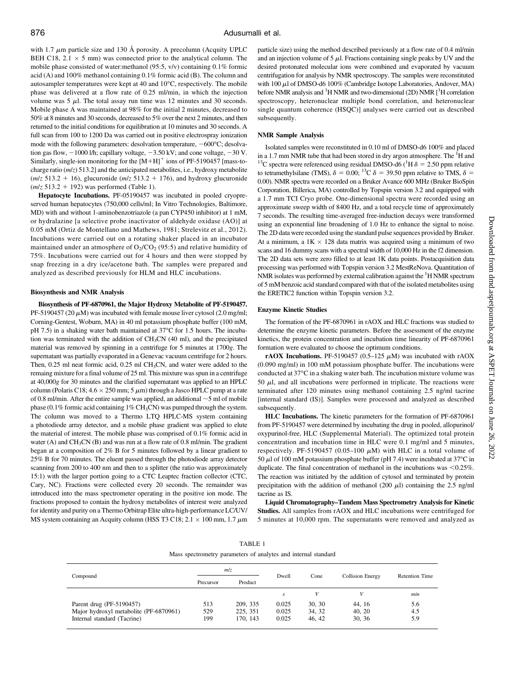with 1.7  $\mu$ m particle size and 130 Å porosity. A precolumn (Acquity UPLC BEH C18, 2.1  $\times$  5 mm) was connected prior to the analytical column. The mobile phase consisted of water:methanol (95:5, v/v) containing 0.1% formic acid (A) and 100% methanol containing 0.1% formic acid (B). The column and autosampler temperatures were kept at 40 and 10°C, respectively. The mobile phase was delivered at a flow rate of 0.25 ml/min, in which the injection volume was  $5 \mu$ . The total assay run time was 12 minutes and 30 seconds. Mobile phase A was maintained at 98% for the initial 2 minutes, decreased to 50% at 8 minutes and 30 seconds, decreased to 5% over the next 2 minutes, and then returned to the initial conditions for equilibration at 10 minutes and 30 seconds. A full scan from 100 to 1200 Da was carried out in positive electrospray ionization mode with the following parameters: desolvation temperature,  $-600^{\circ}$ C; desolvation gas flow,  $-1000$  l/h; capillary voltage,  $-3.50$  kV; and cone voltage,  $-30$  V. Similarly, single-ion monitoring for the  $[M+H]$ <sup>+</sup> ions of PF-5190457 [mass-tocharge ratio  $(m/z)$  513.2] and the anticipated metabolites, i.e., hydroxy metabolite  $(m/z 513.2 + 16)$ , glucuronide  $(m/z 513.2 + 176)$ , and hydroxy glucuronide  $(m/z 513.2 + 192)$  was performed (Table 1).

Hepatocyte Incubations. PF-05190457 was incubated in pooled cryopreserved human hepatocytes (750,000 cells/ml; In Vitro Technologies, Baltimore, MD) with and without 1-aminobenzotriazole (a pan CYP450 inhibitor) at 1 mM, or hydralazine [a selective probe inactivator of aldehyde oxidase (AO)] at 0.05 mM (Ortiz de Montellano and Mathews, 1981; Strelevitz et al., 2012). Incubations were carried out on a rotating shaker placed in an incubator maintained under an atmosphere of  $O_2/CO_2$  (95:5) and relative humidity of 75%. Incubations were carried out for 4 hours and then were stopped by snap freezing in a dry ice/acetone bath. The samples were prepared and analyzed as described previously for HLM and HLC incubations.

#### Biosynthesis and NMR Analysis

Biosynthesis of PF-6870961, the Major Hydroxy Metabolite of PF-5190457. PF-5190457 (20  $\mu$ M) was incubated with female mouse liver cytosol (2.0 mg/ml; Corning-Gentest, Woburn, MA) in 40 ml potassium phosphate buffer (100 mM, pH 7.5) in a shaking water bath maintained at 37°C for 1.5 hours. The incubation was terminated with the addition of  $CH<sub>3</sub>CN$  (40 ml), and the precipitated material was removed by spinning in a centrifuge for 5 minutes at 1700g. The supernatant was partially evaporated in a Genevac vacuum centrifuge for 2 hours. Then,  $0.25$  ml neat formic acid,  $0.25$  ml CH<sub>3</sub>CN, and water were added to the remaing mixture for a final volume of 25 ml. This mixture was spun in a centrifuge at 40,000g for 30 minutes and the clarified supernatant was applied to an HPLC column (Polaris C18;  $4.6 \times 250$  mm;  $5 \mu$ m) through a Jasco HPLC pump at a rate of 0.8 ml/min. After the entire sample was applied, an additional  $\sim$  5 ml of mobile phase (0.1% formic acid containing  $1\%$  CH<sub>3</sub>CN) was pumped through the system. The column was moved to a Thermo LTQ HPLC-MS system containing a photodiode array detector, and a mobile phase gradient was applied to elute the material of interest. The mobile phase was comprised of 0.1% formic acid in water (A) and CH<sub>3</sub>CN (B) and was run at a flow rate of 0.8 ml/min. The gradient began at a composition of 2% B for 5 minutes followed by a linear gradient to 25% B for 70 minutes. The eluent passed through the photodiode array detector scanning from 200 to 400 nm and then to a splitter (the ratio was approximately 15:1) with the larger portion going to a CTC Leaptec fraction collector (CTC, Cary, NC). Fractions were collected every 20 seconds. The remainder was introduced into the mass spectrometer operating in the positive ion mode. The fractions proposed to contain the hydroxy metabolites of interest were analyzed for identity and purity on a Thermo Orbitrap Elite ultra-high-performance LC/UV/ MS system containing an Acquity column (HSS T3 C18;  $2.1 \times 100$  mm,  $1.7 \mu m$ 

particle size) using the method described previously at a flow rate of 0.4 ml/min and an injection volume of 5  $\mu$ l. Fractions containing single peaks by UV and the desired protonated molecular ions were combined and evaporated by vacuum centrifugation for analysis by NMR spectroscopy. The samples were reconstituted with  $100 \mu$ l of DMSO-d6  $100\%$  (Cambridge Isotope Laboratories, Andover, MA) before NMR analysis and <sup>1</sup>H NMR and two-dimensional (2D) NMR [<sup>1</sup>H correlation spectroscopy, heteronuclear multiple bond correlation, and heteronuclear single quantum coherence (HSQC)] analyses were carried out as described subsequently.

# NMR Sample Analysis

Isolated samples were reconstituted in 0.10 ml of DMSO-d6 100% and placed in a 1.7 mm NMR tube that had been stored in dry argon atmosphere. The  ${}^{1}H$  and <sup>13</sup>C spectra were referenced using residual DMSO-d6 (<sup>1</sup>H  $\delta$  = 2.50 ppm relative to tetramethylsilane (TMS),  $\delta = 0.00$ ; <sup>13</sup>C  $\delta = 39.50$  ppm relative to TMS,  $\delta =$ 0.00). NMR spectra were recorded on a Bruker Avance 600 MHz (Bruker BioSpin Corporation, Billerica, MA) controlled by Topspin version 3.2 and equipped with a 1.7 mm TCI Cryo probe. One-dimensional spectra were recorded using an approximate sweep width of 8400 Hz, and a total recycle time of approximately 7 seconds. The resulting time-averaged free-induction decays were transformed using an exponential line broadening of 1.0 Hz to enhance the signal to noise. The 2D data were recorded using the standard pulse sequences provided by Bruker. At a minimum, a  $1K \times 128$  data matrix was acquired using a minimum of two scans and 16 dummy scans with a spectral width of 10,000 Hz in the f2 dimension. The 2D data sets were zero filled to at least 1K data points. Postacquisition data processing was performed with Topspin version 3.2 MestReNova. Quantitation of NMR isolates was performed by external calibration against the  ${}^{1}$ H NMR spectrum of 5 mM benzoic acid standard compared with that of the isolated metabolites using the ERETIC2 function within Topspin version 3.2.

#### Enzyme Kinetic Studies

The formation of the PF-6870961 in rAOX and HLC fractions was studied to determine the enzyme kinetic parameters. Before the assessment of the enzyme kinetics, the protein concentration and incubation time linearity of PF-6870961 formation were evaluated to choose the optimum conditions.

rAOX Incubations. PF-5190457 (0.5-125  $\mu$ M) was incubated with rAOX (0.090 mg/ml) in 100 mM potassium phosphate buffer. The incubations were conducted at 37°C in a shaking water bath. The incubation mixture volume was 50  $\mu$ l, and all incubations were performed in triplicate. The reactions were terminated after 120 minutes using methanol containing 2.5 ng/ml tacrine [internal standard (IS)]. Samples were processed and analyzed as described subsequently.

HLC Incubations. The kinetic parameters for the formation of PF-6870961 from PF-5190457 were determined by incubating the drug in pooled, allopurinol/ oxypurinol-free, HLC [\(Supplemental Material\)](http://dmd.aspetjournals.org/lookup/suppl/doi:10.1124/dmd.119.087015/-/DC1). The optimized total protein concentration and incubation time in HLC were 0.1 mg/ml and 5 minutes, respectively. PF-5190457 (0.05-100  $\mu$ M) with HLC in a total volume of 50  $\mu$ l of 100 mM potassium phosphate buffer (pH 7.4) were incubated at 37°C in duplicate. The final concentration of methanol in the incubations was  $< 0.25\%$ . The reaction was initiated by the addition of cytosol and terminated by protein precipitation with the addition of methanol (200  $\mu$ l) containing the 2.5 ng/ml tacrine as IS.

Liquid Chromatography–Tandem Mass Spectrometry Analysis for Kinetic Studies. All samples from rAOX and HLC incubations were centrifuged for 5 minutes at 10,000 rpm. The supernatants were removed and analyzed as

Mass spectrometry parameters of analytes and internal standard

| Compound                                                                                          | mlz               |                                  |                         |                           |                           |                       |
|---------------------------------------------------------------------------------------------------|-------------------|----------------------------------|-------------------------|---------------------------|---------------------------|-----------------------|
|                                                                                                   | Precursor         | Product                          | Dwell                   | Cone                      | <b>Collision Energy</b>   | <b>Retention Time</b> |
|                                                                                                   |                   |                                  |                         |                           |                           | min                   |
| Parent drug (PF-5190457)<br>Major hydroxyl metabolite (PF-6870961)<br>Internal standard (Tacrine) | 513<br>529<br>199 | 209, 335<br>225, 351<br>170, 143 | 0.025<br>0.025<br>0.025 | 30, 30<br>34, 32<br>46.42 | 44.16<br>40, 20<br>30, 36 | 5.6<br>4.5<br>5.9     |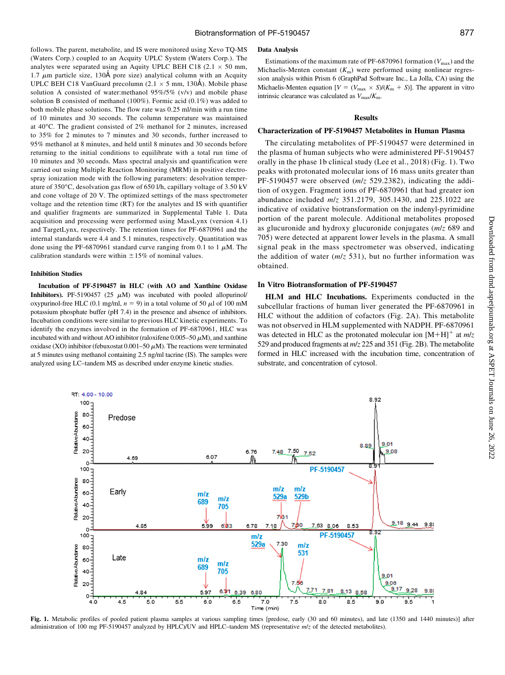follows. The parent, metabolite, and IS were monitored using Xevo TQ-MS (Waters Corp.) coupled to an Acquity UPLC System (Waters Corp.). The analytes were separated using an Aquity UPLC BEH C18 (2.1  $\times$  50 mm, 1.7  $\mu$ m particle size, 130Å pore size) analytical column with an Acquity UPLC BEH C18 VanGuard precolumn (2.1  $\times$  5 mm, 130Å). Mobile phase solution A consisted of water:methanol  $95\%/5\%$  (v/v) and mobile phase solution B consisted of methanol (100%). Formic acid (0.1%) was added to both mobile phase solutions. The flow rate was 0.25 ml/min with a run time of 10 minutes and 30 seconds. The column temperature was maintained at 40°C. The gradient consisted of 2% methanol for 2 minutes, increased to 35% for 2 minutes to 7 minutes and 30 seconds, further increased to 95% methanol at 8 minutes, and held until 8 minutes and 30 seconds before returning to the initial conditions to equilibrate with a total run time of 10 minutes and 30 seconds. Mass spectral analysis and quantification were carried out using Multiple Reaction Monitoring (MRM) in positive electrospray ionization mode with the following parameters: desolvation temperature of 350°C, desolvation gas flow of 650 l/h, capillary voltage of 3.50 kV and cone voltage of 20 V. The optimized settings of the mass spectrometer voltage and the retention time (RT) for the analytes and IS with quantifier and qualifier fragments are summarized in [Supplemental Table 1](http://dmd.aspetjournals.org/lookup/suppl/doi:10.1124/dmd.119.087015/-/DC1). Data acquisition and processing were performed using MassLynx (version 4.1) and TargetLynx, respectively. The retention times for PF-6870961 and the internal standards were 4.4 and 5.1 minutes, respectively. Quantitation was done using the PF-6870961 standard curve ranging from 0.1 to 1  $\mu$ M. The calibration standards were within  $\pm 15\%$  of nominal values.

#### Inhibition Studies

Incubation of PF-5190457 in HLC (with AO and Xanthine Oxidase Inhibitors). PF-5190457 (25  $\mu$ M) was incubated with pooled allopurinol/ oxypurinol-free HLC (0.1 mg/ml,  $n = 9$ ) in a total volume of 50  $\mu$ l of 100 mM potassium phosphate buffer (pH 7.4) in the presence and absence of inhibitors. Incubation conditions were similar to previous HLC kinetic experiments. To identify the enzymes involved in the formation of PF-6870961, HLC was incubated with and without AO inhibitor (raloxifene  $0.005-50 \mu M$ ), and xanthine oxidase (XO) inhibitor (febuxostat  $0.001-50 \mu$ M). The reactions were terminated at 5 minutes using methanol containing 2.5 ng/ml tacrine (IS). The samples were analyzed using LC–tandem MS as described under enzyme kinetic studies.

#### Data Analysis

Estimations of the maximum rate of PF-6870961 formation  $(V_{\text{max}})$  and the Michaelis-Menten constant  $(K<sub>m</sub>)$  were performed using nonlinear regression analysis within Prism 6 (GraphPad Software Inc., La Jolla, CA) using the Michaelis-Menten equation  $[V = (V_{\text{max}} \times S)/(K_{\text{m}} + S)]$ . The apparent in vitro intrinsic clearance was calculated as  $V_{\text{max}}/K_{\text{m}}$ .

# Results

## Characterization of PF-5190457 Metabolites in Human Plasma

The circulating metabolites of PF-5190457 were determined in the plasma of human subjects who were administered PF-5190457 orally in the phase 1b clinical study (Lee et al., 2018) (Fig. 1). Two peaks with protonated molecular ions of 16 mass units greater than PF-5190457 were observed (m/z 529.2382), indicating the addition of oxygen. Fragment ions of PF-6870961 that had greater ion abundance included  $m/z$  351.2179, 305.1430, and 225.1022 are indicative of oxidative biotransformation on the indenyl-pyrimidine portion of the parent molecule. Additional metabolites proposed as glucuronide and hydroxy glucuronide conjugates (m/z 689 and 705) were detected at apparent lower levels in the plasma. A small signal peak in the mass spectrometer was observed, indicating the addition of water  $(m/z 531)$ , but no further information was obtained.

## In Vitro Biotransformation of PF-5190457

HLM and HLC Incubations. Experiments conducted in the subcellular fractions of human liver generated the PF-6870961 in HLC without the addition of cofactors (Fig. 2A). This metabolite was not observed in HLM supplemented with NADPH. PF-6870961 was detected in HLC as the protonated molecular ion  $[M+H]$ <sup>+</sup> at  $m/z$ 529 and produced fragments at  $m/z$  225 and 351 (Fig. 2B). The metabolite formed in HLC increased with the incubation time, concentration of substrate, and concentration of cytosol.



Fig. 1. Metabolic profiles of pooled patient plasma samples at various sampling times [predose, early (30 and 60 minutes), and late (1350 and 1440 minutes)] after administration of 100 mg PF-5190457 analyzed by HPLC)/UV and HPLC–tandem MS (representative  $m/z$  of the detected metabolites).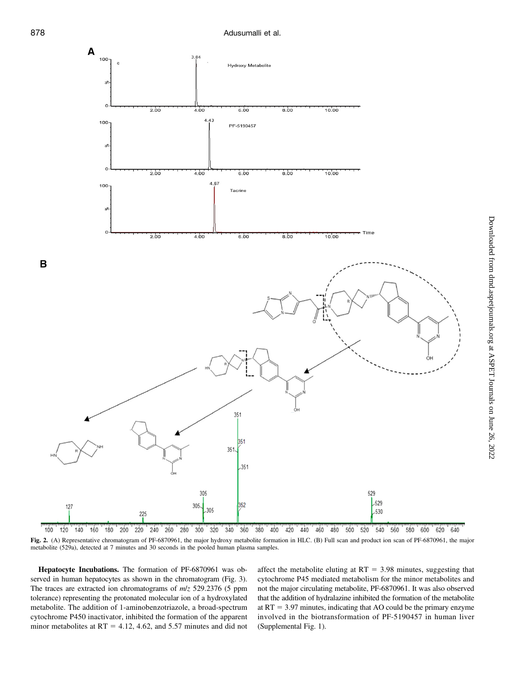

Fig. 2. (A) Representative chromatogram of PF-6870961, the major hydroxy metabolite formation in HLC. (B) Full scan and product ion scan of PF-6870961, the major metabolite (529a), detected at 7 minutes and 30 seconds in the pooled human plasma samples.

Hepatocyte Incubations. The formation of PF-6870961 was observed in human hepatocytes as shown in the chromatogram (Fig. 3). The traces are extracted ion chromatograms of m/z 529.2376 (5 ppm tolerance) representing the protonated molecular ion of a hydroxylated metabolite. The addition of 1-aminobenzotriazole, a broad-spectrum cytochrome P450 inactivator, inhibited the formation of the apparent minor metabolites at  $RT = 4.12$ , 4.62, and 5.57 minutes and did not

affect the metabolite eluting at  $RT = 3.98$  minutes, suggesting that cytochrome P45 mediated metabolism for the minor metabolites and not the major circulating metabolite, PF-6870961. It was also observed that the addition of hydralazine inhibited the formation of the metabolite at  $RT = 3.97$  minutes, indicating that AO could be the primary enzyme involved in the biotransformation of PF-5190457 in human liver [\(Supplemental Fig. 1\)](http://dmd.aspetjournals.org/lookup/suppl/doi:10.1124/dmd.119.087015/-/DC1).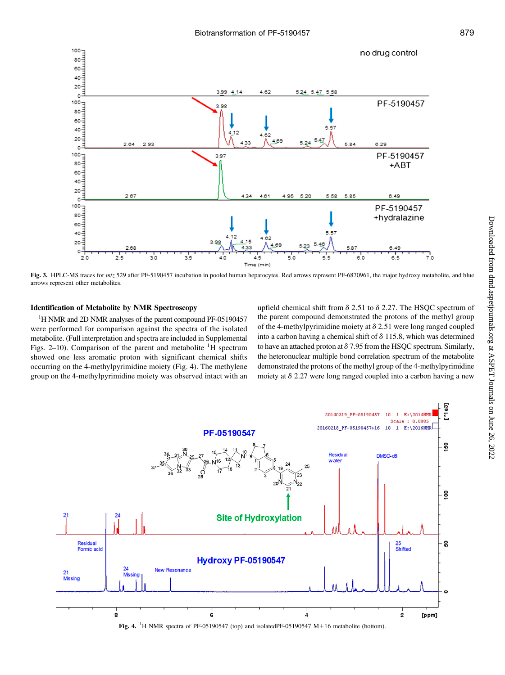

Fig. 3. HPLC-MS traces for  $m/z$  529 after PF-5190457 incubation in pooled human hepatocytes. Red arrows represent PF-6870961, the major hydroxy metabolite, and blue arrows represent other metabolites.

## Identification of Metabolite by NMR Spectroscopy

<sup>1</sup>H NMR and 2D NMR analyses of the parent compound PF-05190457 were performed for comparison against the spectra of the isolated metabolite. (Full interpretation and spectra are included in [Supplemental](http://dmd.aspetjournals.org/lookup/suppl/doi:10.1124/dmd.119.087015/-/DC1) [Figs. 2](http://dmd.aspetjournals.org/lookup/suppl/doi:10.1124/dmd.119.087015/-/DC1)-[10\)](http://dmd.aspetjournals.org/lookup/suppl/doi:10.1124/dmd.119.087015/-/DC1). Comparison of the parent and metabolite  ${}^{1}H$  spectrum showed one less aromatic proton with significant chemical shifts occurring on the 4-methylpyrimidine moiety (Fig. 4). The methylene group on the 4-methylpyrimidine moiety was observed intact with an

upfield chemical shift from  $\delta$  2.51 to  $\delta$  2.27. The HSQC spectrum of the parent compound demonstrated the protons of the methyl group of the 4-methylpyrimidine moiety at  $\delta$  2.51 were long ranged coupled into a carbon having a chemical shift of  $\delta$  115.8, which was determined to have an attached proton at  $\delta$  7.95 from the HSQC spectrum. Similarly, the heteronuclear multiple bond correlation spectrum of the metabolite demonstrated the protons of the methyl group of the 4-methylpyrimidine moiety at  $\delta$  2.27 were long ranged coupled into a carbon having a new

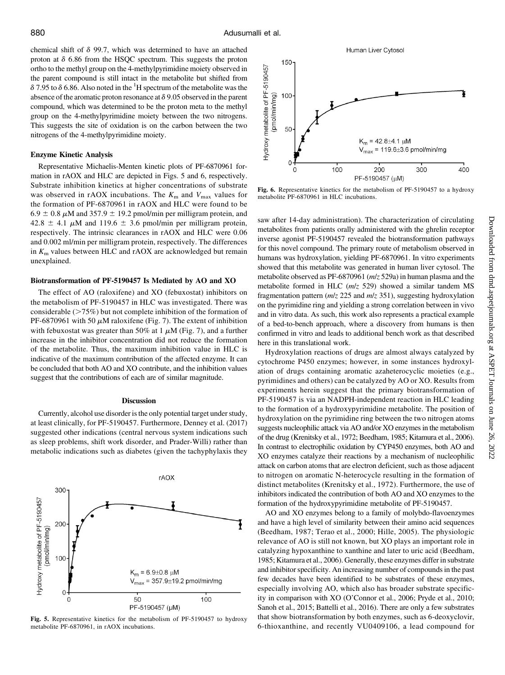chemical shift of  $\delta$  99.7, which was determined to have an attached proton at  $\delta$  6.86 from the HSQC spectrum. This suggests the proton ortho to the methyl group on the 4-methylpyrimidine moiety observed in the parent compound is still intact in the metabolite but shifted from  $\delta$  7.95 to  $\delta$  6.86. Also noted in the <sup>1</sup>H spectrum of the metabolite was the absence of the aromatic proton resonance at  $\delta$  9.05 observed in the parent compound, which was determined to be the proton meta to the methyl group on the 4-methylpyrimidine moiety between the two nitrogens. This suggests the site of oxidation is on the carbon between the two nitrogens of the 4-methylpyrimidine moiety.

## Enzyme Kinetic Analysis

Representative Michaelis-Menten kinetic plots of PF-6870961 formation in rAOX and HLC are depicted in Figs. 5 and 6, respectively. Substrate inhibition kinetics at higher concentrations of substrate was observed in rAOX incubations. The  $K<sub>m</sub>$  and  $V<sub>max</sub>$  values for the formation of PF-6870961 in rAOX and HLC were found to be  $6.9 \pm 0.8 \,\mu$ M and 357.9  $\pm$  19.2 pmol/min per milligram protein, and  $42.8 \pm 4.1 \mu M$  and  $119.6 \pm 3.6 \mu$  pmol/min per milligram protein, respectively. The intrinsic clearances in rAOX and HLC were 0.06 and 0.002 ml/min per milligram protein, respectively. The differences in  $K<sub>m</sub>$  values between HLC and rAOX are acknowledged but remain unexplained.

## Biotransformation of PF-5190457 Is Mediated by AO and XO

The effect of AO (raloxifene) and XO (febuxostat) inhibitors on the metabolism of PF-5190457 in HLC was investigated. There was considerable  $(>=75%)$  but not complete inhibition of the formation of PF-6870961 with 50  $\mu$ M raloxifene (Fig. 7). The extent of inhibition with febuxostat was greater than 50% at 1  $\mu$ M (Fig. 7), and a further increase in the inhibitor concentration did not reduce the formation of the metabolite. Thus, the maximum inhibition value in HLC is indicative of the maximum contribution of the affected enzyme. It can be concluded that both AO and XO contribute, and the inhibition values suggest that the contributions of each are of similar magnitude.

#### **Discussion**

Currently, alcohol use disorder is the only potential target under study, at least clinically, for PF-5190457. Furthermore, Denney et al. (2017) suggested other indications (central nervous system indications such as sleep problems, shift work disorder, and Prader-Willi) rather than metabolic indications such as diabetes (given the tachyphylaxis they



Fig. 5. Representative kinetics for the metabolism of PF-5190457 to hydroxy metabolite PF-6870961, in rAOX incubations.

Human Liver Cytosol 150 Hydroxy metabolite of PF-5190457 100 (pmol/min/mg) 50  $K_m = 42.8 \pm 4.1 \mu M$  $V_{max}$  = 119.6 $\pm$ 3.6 pmol/min/mg  $\Omega$ 100 200 300 400  $\Omega$ PF-5190457 (µM)

Fig. 6. Representative kinetics for the metabolism of PF-5190457 to a hydroxy metabolite PF-6870961 in HLC incubations.

saw after 14-day administration). The characterization of circulating metabolites from patients orally administered with the ghrelin receptor inverse agonist PF-5190457 revealed the biotransformation pathways for this novel compound. The primary route of metabolism observed in humans was hydroxylation, yielding PF-6870961. In vitro experiments showed that this metabolite was generated in human liver cytosol. The metabolite observed as PF-6870961 (m/z 529a) in human plasma and the metabolite formed in HLC (m/z 529) showed a similar tandem MS fragmentation pattern  $(m/z 225$  and  $m/z 351)$ , suggesting hydroxylation on the pyrimidine ring and yielding a strong correlation between in vivo and in vitro data. As such, this work also represents a practical example of a bed-to-bench approach, where a discovery from humans is then confirmed in vitro and leads to additional bench work as that described here in this translational work.

Hydroxylation reactions of drugs are almost always catalyzed by cytochrome P450 enzymes; however, in some instances hydroxylation of drugs containing aromatic azaheterocyclic moieties (e.g., pyrimidines and others) can be catalyzed by AO or XO. Results from experiments herein suggest that the primary biotransformation of PF-5190457 is via an NADPH-independent reaction in HLC leading to the formation of a hydroxypyrimidine metabolite. The position of hydroxylation on the pyrimidine ring between the two nitrogen atoms suggests nucleophilic attack via AO and/or XO enzymes in the metabolism of the drug (Krenitsky et al., 1972; Beedham, 1985; Kitamura et al., 2006). In contrast to electrophilic oxidation by CYP450 enzymes, both AO and XO enzymes catalyze their reactions by a mechanism of nucleophilic attack on carbon atoms that are electron deficient, such as those adjacent to nitrogen on aromatic N-heterocycle resulting in the formation of distinct metabolites (Krenitsky et al., 1972). Furthermore, the use of inhibitors indicated the contribution of both AO and XO enzymes to the formation of the hydroxypyrimidine metabolite of PF-5190457.

AO and XO enzymes belong to a family of molybdo-flavoenzymes and have a high level of similarity between their amino acid sequences (Beedham, 1987; Terao et al., 2000; Hille, 2005). The physiologic relevance of AO is still not known, but XO plays an important role in catalyzing hypoxanthine to xanthine and later to uric acid (Beedham, 1985; Kitamura et al., 2006). Generally, these enzymes differ in substrate and inhibitor specificity. An increasing number of compounds in the past few decades have been identified to be substrates of these enzymes, especially involving AO, which also has broader substrate specificity in comparison with XO (O'Connor et al., 2006; Pryde et al., 2010; Sanoh et al., 2015; Battelli et al., 2016). There are only a few substrates that show biotransformation by both enzymes, such as 6-deoxyclovir, 6-thioxanthine, and recently VU0409106, a lead compound for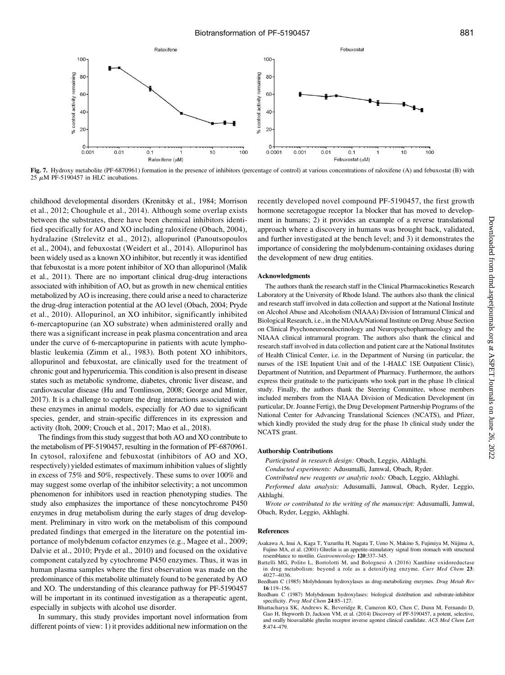



Fig. 7. Hydroxy metabolite (PF-6870961) formation in the presence of inhibitors (percentage of control) at various concentrations of raloxifene (A) and febuxostat (B) with 25  $\mu$ M PF-5190457 in HLC incubations.

childhood developmental disorders (Krenitsky et al., 1984; Morrison et al., 2012; Choughule et al., 2014). Although some overlap exists between the substrates, there have been chemical inhibitors identified specifically for AO and XO including raloxifene (Obach, 2004), hydralazine (Strelevitz et al., 2012), allopurinol (Panoutsopoulos et al., 2004), and febuxostat (Weidert et al., 2014). Allopurinol has been widely used as a known XO inhibitor, but recently it was identified that febuxostat is a more potent inhibitor of XO than allopurinol (Malik et al., 2011). There are no important clinical drug-drug interactions associated with inhibition of AO, but as growth in new chemical entities metabolized by AO is increasing, there could arise a need to characterize the drug-drug interaction potential at the AO level (Obach, 2004; Pryde et al., 2010). Allopurinol, an XO inhibitor, significantly inhibited 6-mercaptopurine (an XO substrate) when administered orally and there was a significant increase in peak plasma concentration and area under the curve of 6-mercaptopurine in patients with acute lymphoblastic leukemia (Zimm et al., 1983). Both potent XO inhibitors, allopurinol and febuxostat, are clinically used for the treatment of chronic gout and hyperuricemia. This condition is also present in disease states such as metabolic syndrome, diabetes, chronic liver disease, and cardiovascular disease (Hu and Tomlinson, 2008; George and Minter, 2017). It is a challenge to capture the drug interactions associated with these enzymes in animal models, especially for AO due to significant species, gender, and strain-specific differences in its expression and activity (Itoh, 2009; Crouch et al., 2017; Mao et al., 2018).

The findings from this study suggest that both AO and XO contribute to the metabolism of PF-5190457, resulting in the formation of PF-6870961. In cytosol, raloxifene and febuxostat (inhibitors of AO and XO, respectively) yielded estimates of maximum inhibition values of slightly in excess of 75% and 50%, respectively. These sums to over 100% and may suggest some overlap of the inhibitor selectivity; a not uncommon phenomenon for inhibitors used in reaction phenotyping studies. The study also emphasizes the importance of these noncytochrome P450 enzymes in drug metabolism during the early stages of drug development. Preliminary in vitro work on the metabolism of this compound predated findings that emerged in the literature on the potential importance of molybdenum cofactor enzymes (e.g., Magee et al., 2009; Dalvie et al., 2010; Pryde et al., 2010) and focused on the oxidative component catalyzed by cytochrome P450 enzymes. Thus, it was in human plasma samples where the first observation was made on the predominance of this metabolite ultimately found to be generated by AO and XO. The understanding of this clearance pathway for PF-5190457 will be important in its continued investigation as a therapeutic agent, especially in subjects with alcohol use disorder.

In summary, this study provides important novel information from different points of view: 1) it provides additional new information on the

recently developed novel compound PF-5190457, the first growth hormone secretagogue receptor 1a blocker that has moved to development in humans; 2) it provides an example of a reverse translational approach where a discovery in humans was brought back, validated, and further investigated at the bench level; and 3) it demonstrates the importance of considering the molybdenum-containing oxidases during the development of new drug entities.

### Acknowledgments

The authors thank the research staff in the Clinical Pharmacokinetics Research Laboratory at the University of Rhode Island. The authors also thank the clinical and research staff involved in data collection and support at the National Institute on Alcohol Abuse and Alcoholism (NIAAA) Division of Intramural Clinical and Biological Research, i.e., in the NIAAA/National Institute on Drug Abuse Section on Clinical Psychoneuroendocrinology and Neuropsychopharmacology and the NIAAA clinical intramural program. The authors also thank the clinical and research staff involved in data collection and patient care at the National Institutes of Health Clinical Center, i.e. in the Department of Nursing (in particular, the nurses of the 1SE Inpatient Unit and of the 1-HALC 1SE Outpatient Clinic), Department of Nutrition, and Department of Pharmacy. Furthermore, the authors express their gratitude to the participants who took part in the phase 1b clinical study. Finally, the authors thank the Steering Committee, whose members included members from the NIAAA Division of Medication Development (in particular, Dr. Joanne Fertig), the Drug Development Partnership Programs of the National Center for Advancing Translational Sciences (NCATS), and Pfizer, which kindly provided the study drug for the phase 1b clinical study under the NCATS grant.

#### Authorship Contributions

Participated in research design: Obach, Leggio, Akhlaghi.

- Conducted experiments: Adusumalli, Jamwal, Obach, Ryder.
- Contributed new reagents or analytic tools: Obach, Leggio, Akhlaghi.

Performed data analysis: Adusumalli, Jamwal, Obach, Ryder, Leggio, Akhlaghi.

Wrote or contributed to the writing of the manuscript: Adusumalli, Jamwal, Obach, Ryder, Leggio, Akhlaghi.

## References

- Asakawa A, Inui A, Kaga T, Yuzuriha H, Nagata T, Ueno N, Makino S, Fujimiya M, Niijima A, Fujino MA, et al. (2001) Ghrelin is an appetite-stimulatory signal from stomach with structural resemblance to motilin. Gastroenterology 120:337–345.
- Battelli MG, Polito L, Bortolotti M, and Bolognesi A (2016) Xanthine oxidoreductase in drug metabolism: beyond a role as a detoxifying enzyme. Curr Med Chem 23: 4027–4036.
- Beedham C (1985) Molybdenum hydroxylases as drug-metabolizing enzymes. Drug Metab Rev 16:119–156.
- Beedham C (1987) Molybdenum hydroxylases: biological distribution and substrate-inhibitor specificity. Prog Med Chem 24:85–127.
- Bhattacharya SK, Andrews K, Beveridge R, Cameron KO, Chen C, Dunn M, Fernando D, Gao H, Hepworth D, Jackson VM, et al. (2014) Discovery of PF-5190457, a potent, selective, and orally bioavailable ghrelin receptor inverse agonist clinical candidate. ACS Med Chem Lett 5:474–479.